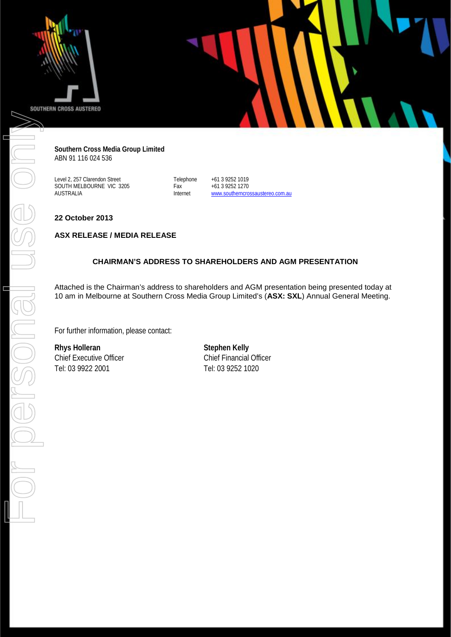

**Southern Cross Media Group Limited** ABN 91 116 024 536

Level 2, 257 Clarendon Street SOUTH MELBOURNE VIC 3205 AUSTRALIA

Telephone +61 3 9252 1019<br>Fax +61 3 9252 1270 Fax +61 3 9252 1270<br>Internet www.southerncro [www.southerncrossaustereo.com.au](http://www.southerncrossaustereo.com.au/)

**22 October 2013**

#### **ASX RELEASE / MEDIA RELEASE**

#### **CHAIRMAN'S ADDRESS TO SHAREHOLDERS AND AGM PRESENTATION**

Attached is the Chairman's address to shareholders and AGM presentation being presented today at 10 am in Melbourne at Southern Cross Media Group Limited's (**ASX: SXL**) Annual General Meeting.

For further information, please contact:

**Rhys Holleran Stephen Kelly** Chief Executive Officer<br>
Tel: 03 9922 2001<br>
Tel: 03 9252 1020

Tel: 03 9252 1020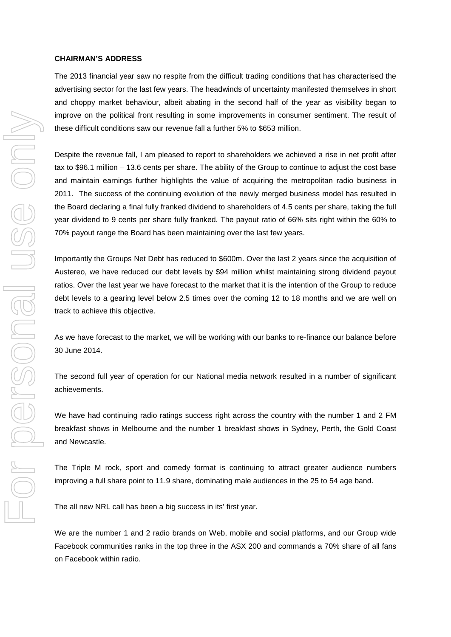#### **CHAIRMAN'S ADDRESS**

The 2013 financial year saw no respite from the difficult trading conditions that has characterised the advertising sector for the last few years. The headwinds of uncertainty manifested themselves in short and choppy market behaviour, albeit abating in the second half of the year as visibility began to improve on the political front resulting in some improvements in consumer sentiment. The result of these difficult conditions saw our revenue fall a further 5% to \$653 million.

Despite the revenue fall, I am pleased to report to shareholders we achieved a rise in net profit after tax to \$96.1 million – 13.6 cents per share. The ability of the Group to continue to adjust the cost base and maintain earnings further highlights the value of acquiring the metropolitan radio business in 2011. The success of the continuing evolution of the newly merged business model has resulted in the Board declaring a final fully franked dividend to shareholders of 4.5 cents per share, taking the full year dividend to 9 cents per share fully franked. The payout ratio of 66% sits right within the 60% to 70% payout range the Board has been maintaining over the last few years.

Importantly the Groups Net Debt has reduced to \$600m. Over the last 2 years since the acquisition of Austereo, we have reduced our debt levels by \$94 million whilst maintaining strong dividend payout ratios. Over the last year we have forecast to the market that it is the intention of the Group to reduce debt levels to a gearing level below 2.5 times over the coming 12 to 18 months and we are well on track to achieve this objective.

As we have forecast to the market, we will be working with our banks to re-finance our balance before 30 June 2014.

The second full year of operation for our National media network resulted in a number of significant achievements.

We have had continuing radio ratings success right across the country with the number 1 and 2 FM breakfast shows in Melbourne and the number 1 breakfast shows in Sydney, Perth, the Gold Coast and Newcastle.

The Triple M rock, sport and comedy format is continuing to attract greater audience numbers improving a full share point to 11.9 share, dominating male audiences in the 25 to 54 age band.

The all new NRL call has been a big success in its' first year.

We are the number 1 and 2 radio brands on Web, mobile and social platforms, and our Group wide Facebook communities ranks in the top three in the ASX 200 and commands a 70% share of all fans on Facebook within radio.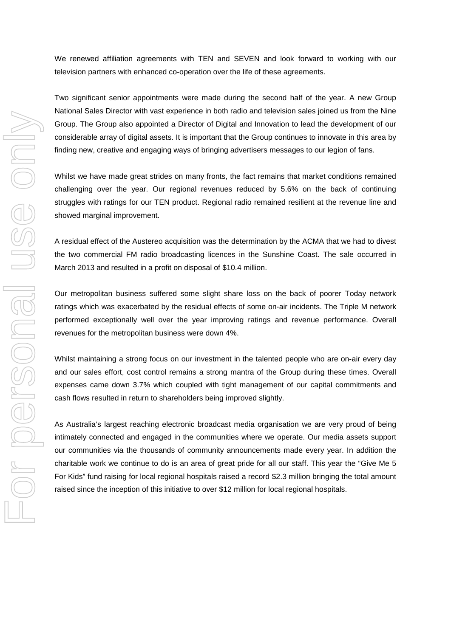We renewed affiliation agreements with TEN and SEVEN and look forward to working with our television partners with enhanced co-operation over the life of these agreements.

Two significant senior appointments were made during the second half of the year. A new Group National Sales Director with vast experience in both radio and television sales joined us from the Nine Group. The Group also appointed a Director of Digital and Innovation to lead the development of our considerable array of digital assets. It is important that the Group continues to innovate in this area by finding new, creative and engaging ways of bringing advertisers messages to our legion of fans.

Whilst we have made great strides on many fronts, the fact remains that market conditions remained challenging over the year. Our regional revenues reduced by 5.6% on the back of continuing struggles with ratings for our TEN product. Regional radio remained resilient at the revenue line and showed marginal improvement.

A residual effect of the Austereo acquisition was the determination by the ACMA that we had to divest the two commercial FM radio broadcasting licences in the Sunshine Coast. The sale occurred in March 2013 and resulted in a profit on disposal of \$10.4 million.

Our metropolitan business suffered some slight share loss on the back of poorer Today network ratings which was exacerbated by the residual effects of some on-air incidents. The Triple M network performed exceptionally well over the year improving ratings and revenue performance. Overall revenues for the metropolitan business were down 4%.

Whilst maintaining a strong focus on our investment in the talented people who are on-air every day and our sales effort, cost control remains a strong mantra of the Group during these times. Overall expenses came down 3.7% which coupled with tight management of our capital commitments and cash flows resulted in return to shareholders being improved slightly.

As Australia's largest reaching electronic broadcast media organisation we are very proud of being intimately connected and engaged in the communities where we operate. Our media assets support our communities via the thousands of community announcements made every year. In addition the charitable work we continue to do is an area of great pride for all our staff. This year the "Give Me 5 For Kids" fund raising for local regional hospitals raised a record \$2.3 million bringing the total amount raised since the inception of this initiative to over \$12 million for local regional hospitals.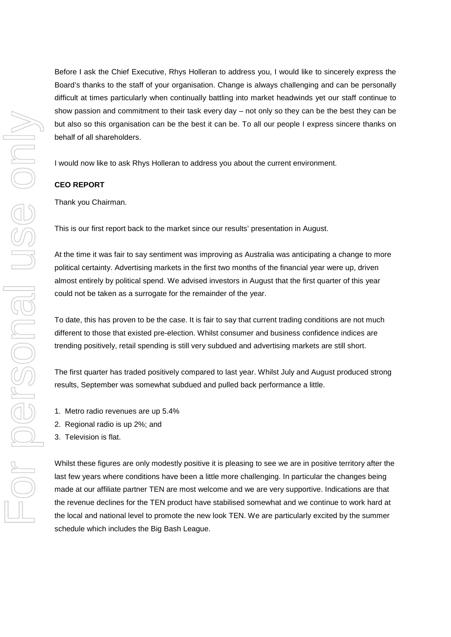Before I ask the Chief Executive, Rhys Holleran to address you, I would like to sincerely express the Board's thanks to the staff of your organisation. Change is always challenging and can be personally difficult at times particularly when continually battling into market headwinds yet our staff continue to show passion and commitment to their task every day – not only so they can be the best they can be but also so this organisation can be the best it can be. To all our people I express sincere thanks on behalf of all shareholders.

I would now like to ask Rhys Holleran to address you about the current environment.

#### **CEO REPORT**

Thank you Chairman.

This is our first report back to the market since our results' presentation in August.

At the time it was fair to say sentiment was improving as Australia was anticipating a change to more political certainty. Advertising markets in the first two months of the financial year were up, driven almost entirely by political spend. We advised investors in August that the first quarter of this year could not be taken as a surrogate for the remainder of the year.

To date, this has proven to be the case. It is fair to say that current trading conditions are not much different to those that existed pre-election. Whilst consumer and business confidence indices are trending positively, retail spending is still very subdued and advertising markets are still short.

The first quarter has traded positively compared to last year. Whilst July and August produced strong results, September was somewhat subdued and pulled back performance a little.

- 1. Metro radio revenues are up 5.4%
- 2. Regional radio is up 2%; and
- 3. Television is flat.

Whilst these figures are only modestly positive it is pleasing to see we are in positive territory after the last few years where conditions have been a little more challenging. In particular the changes being made at our affiliate partner TEN are most welcome and we are very supportive. Indications are that the revenue declines for the TEN product have stabilised somewhat and we continue to work hard at the local and national level to promote the new look TEN. We are particularly excited by the summer schedule which includes the Big Bash League.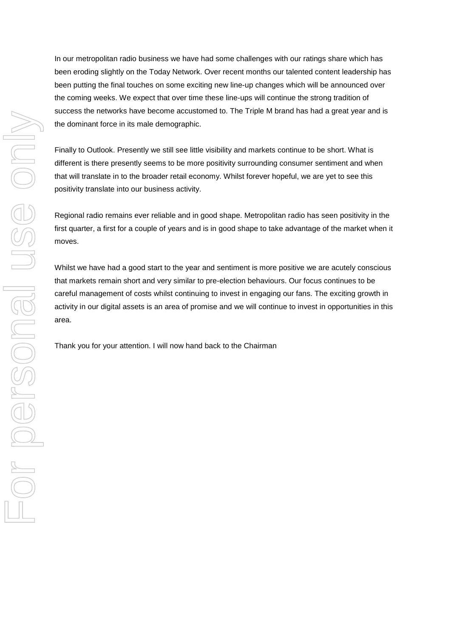In our metropolitan radio business we have had some challenges with our ratings share which has been eroding slightly on the Today Network. Over recent months our talented content leadership has been putting the final touches on some exciting new line-up changes which will be announced over the coming weeks. We expect that over time these line-ups will continue the strong tradition of success the networks have become accustomed to. The Triple M brand has had a great year and is the dominant force in its male demographic.

Finally to Outlook. Presently we still see little visibility and markets continue to be short. What is different is there presently seems to be more positivity surrounding consumer sentiment and when that will translate in to the broader retail economy. Whilst forever hopeful, we are yet to see this positivity translate into our business activity.

Regional radio remains ever reliable and in good shape. Metropolitan radio has seen positivity in the first quarter, a first for a couple of years and is in good shape to take advantage of the market when it moves.

Whilst we have had a good start to the year and sentiment is more positive we are acutely conscious that markets remain short and very similar to pre-election behaviours. Our focus continues to be careful management of costs whilst continuing to invest in engaging our fans. The exciting growth in activity in our digital assets is an area of promise and we will continue to invest in opportunities in this area.

Thank you for your attention. I will now hand back to the Chairman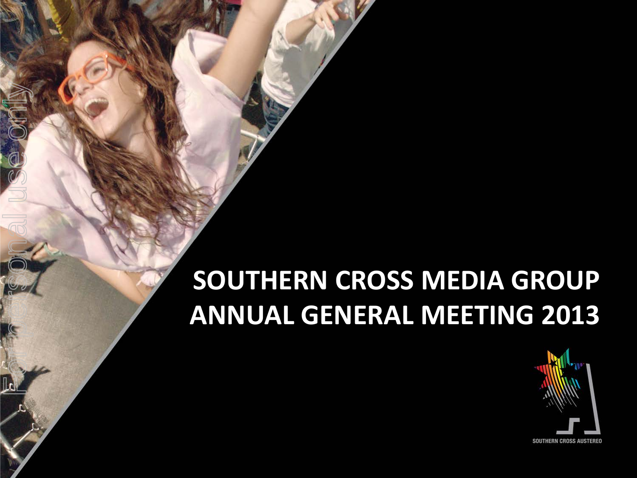### **SOUTHERN CROSS MEDIA GROUP ANNUAL GENERAL MEETING 2013**

For personal use only

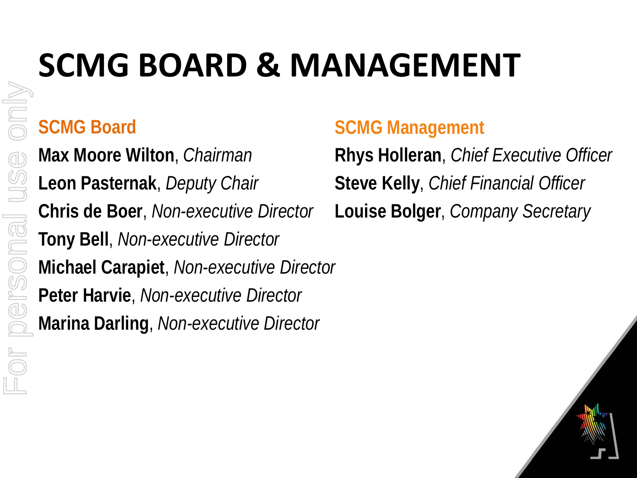# **SCMG BOARD & MANAGEMENT**

#### **SCMG Board**

For personal use only

ersonal

Or

 $\geqslant$ 

**Max Moore Wilton**, *Chairman* **Leon Pasternak**, *Deputy Chair* **Chris de Boer**, *Non-executive Director* **Tony Bell**, *Non-executive Director* **Michael Carapiet**, *Non-executive Director* **Peter Harvie**, *Non-executive Director* **Marina Darling**, *Non-executive Director*

#### **SCMG Management**

**Rhys Holleran**, *Chief Executive Officer* **Steve Kelly**, *Chief Financial Officer* **Louise Bolger**, *Company Secretary*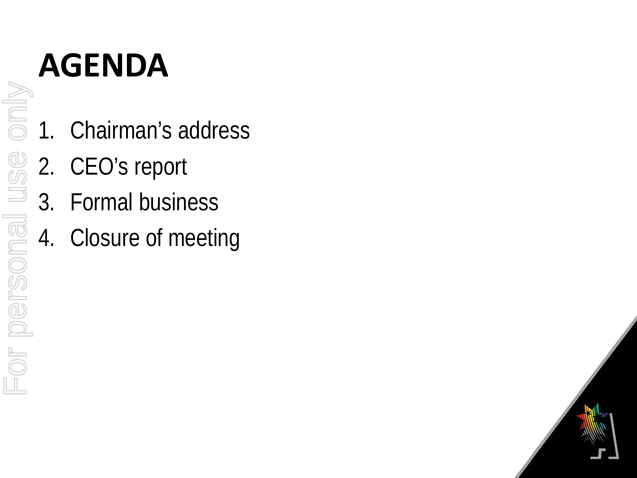### **AGENDA**

- 1. Chairman's address
	- 2. CEO's report
	- 3. Formal business
- 4. Closure of meeting

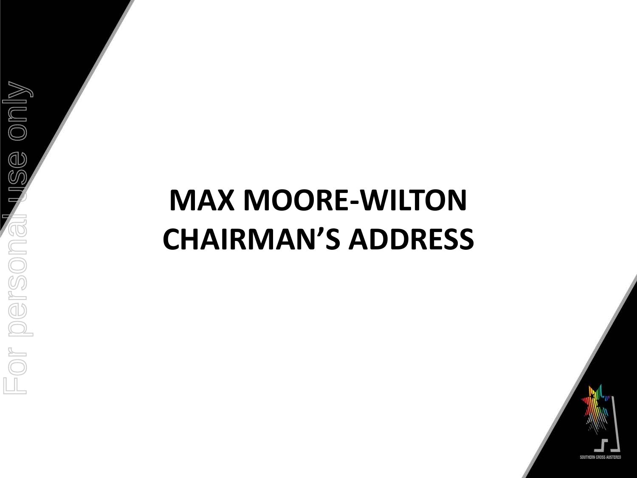## **MAX MOORE-WILTON CHAIRMAN'S ADDRESS**

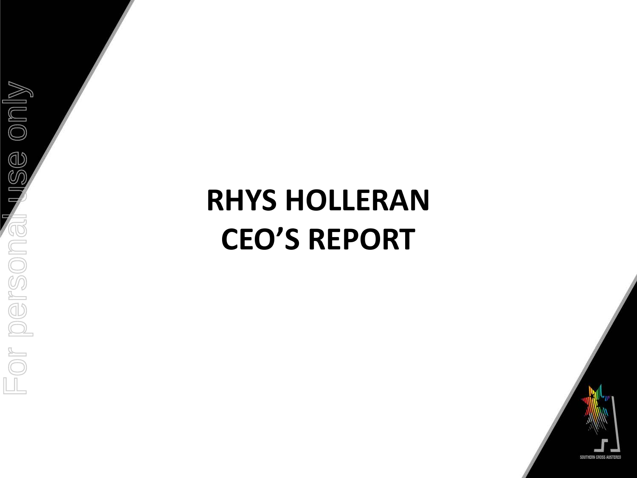## **RHYS HOLLERAN CEO'S REPORT**



ise only For personal use onlyFor persona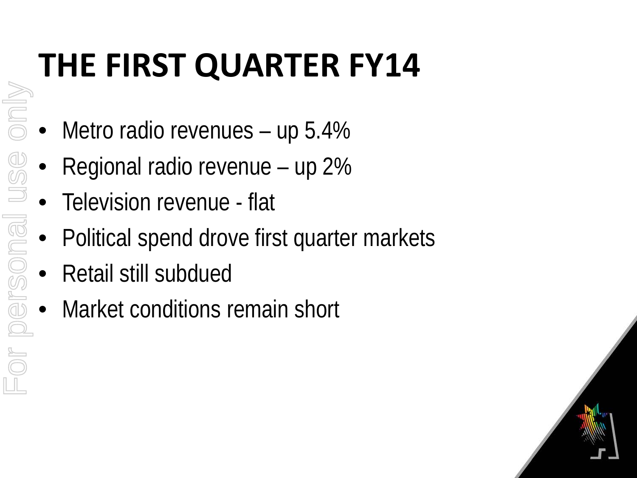# **THE FIRST QUARTER FY14**

- Metro radio revenues up 5.4%
- Regional radio revenue up 2%
- Television revenue flat
- Political spend drove first quarter markets
- Retail still subdued

For personal use only

MIDIO

• Market conditions remain short

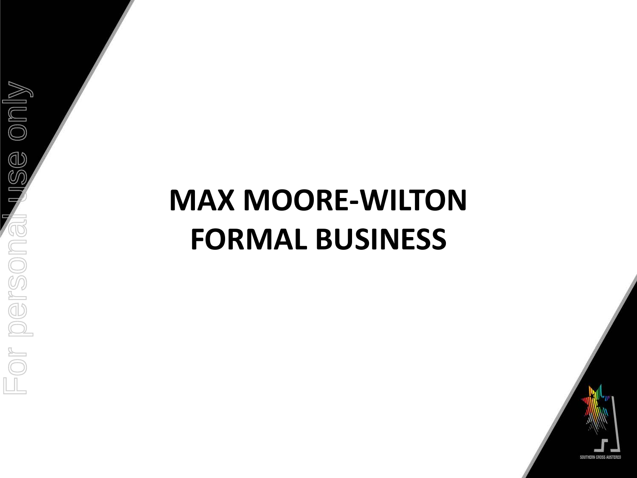## **MAX MOORE-WILTON FORMAL BUSINESS**



 $\mathbb{S}\mathfrak{S}$  only For personal use onlyor persona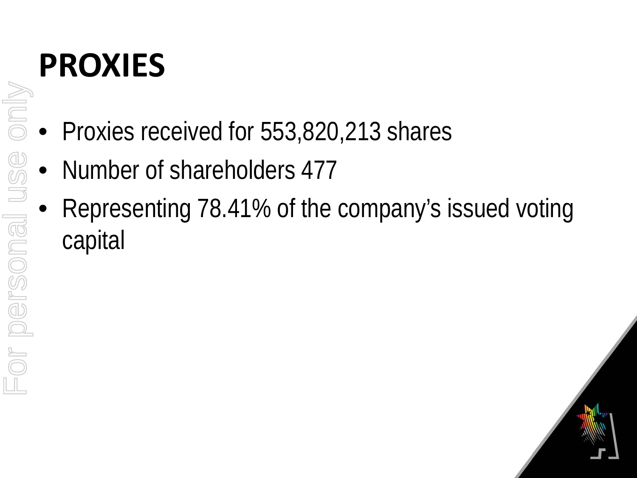# **PROXIES**

- Proxies received for 553,820,213 shares
- Number of shareholders 477
- Representing 78.41% of the company's issued voting capital

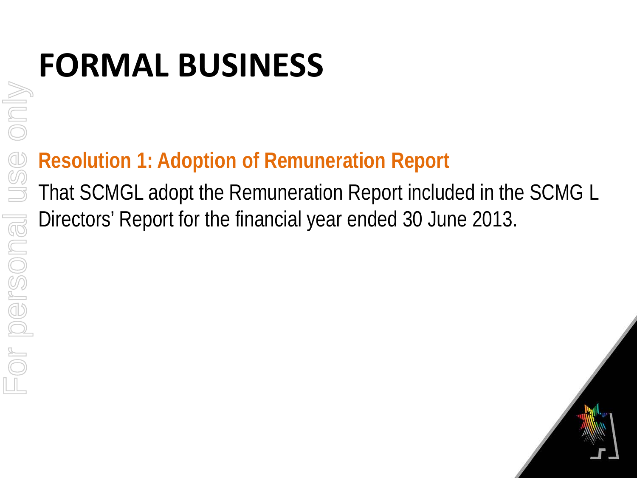### **Resolution 1: Adoption of Remuneration Report**

That SCMGL adopt the Remuneration Report included in the SCMG L Directors' Report for the financial year ended 30 June 2013.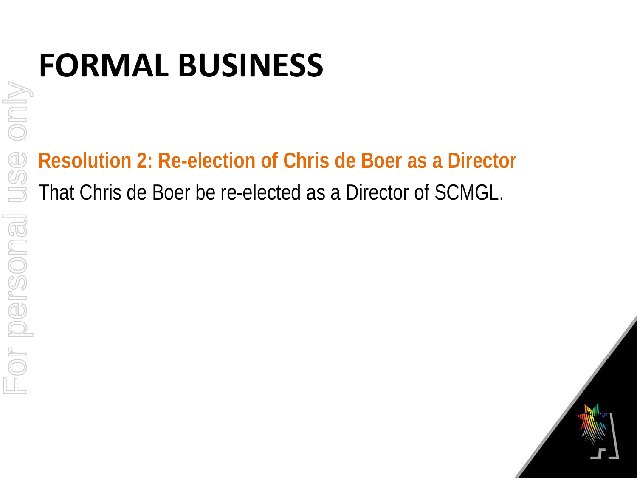**Resolution 2: Re-election of Chris de Boer as a Director** That Chris de Boer be re-elected as a Director of SCMGL.

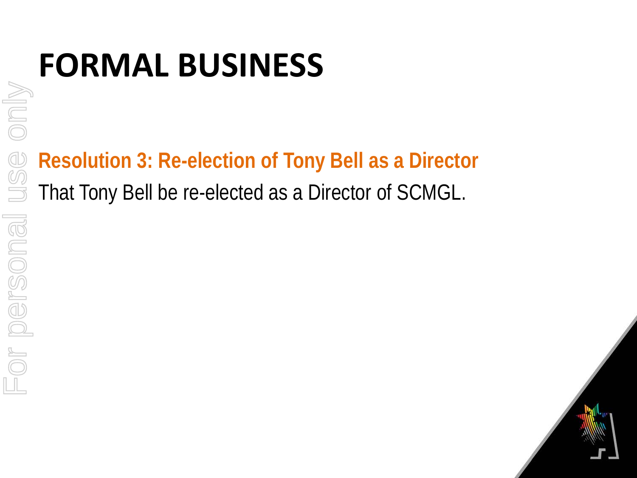**Resolution 3: Re-election of Tony Bell as a Director** That Tony Bell be re-elected as a Director of SCMGL.

only For personal use onlyUSC or personal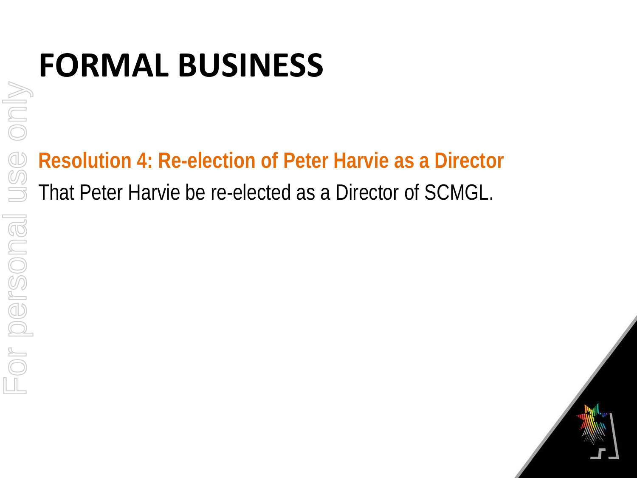**Resolution 4: Re-election of Peter Harvie as a Director** That Peter Harvie be re-elected as a Director of SCMGL.